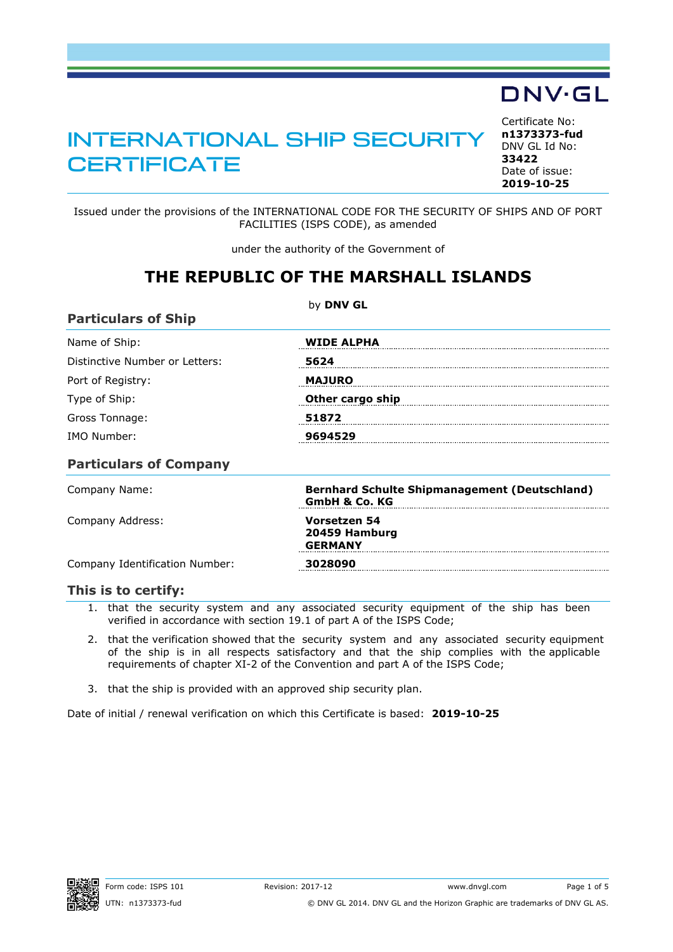# INTERNATIONAL SHIP SECURITY **CERTIFICATE**

<span id="page-0-0"></span>Certificate No: **n1373373-fud** DNV GL Id No: **33422** Date of issue: **[2019-10-25](#page-1-0)**

Issued under the provisions of the INTERNATIONAL CODE FOR THE SECURITY OF SHIPS AND OF PORT FACILITIES (ISPS CODE), as amended

under the authority of the Government of

### **THE REPUBLIC OF THE MARSHALL ISLANDS**

| <b>Particulars of Ship</b>     | by DNV GL                                                                        |
|--------------------------------|----------------------------------------------------------------------------------|
| Name of Ship:                  | <b>WIDE ALPHA</b>                                                                |
| Distinctive Number or Letters: | 5624                                                                             |
| Port of Registry:              | <b>MAJURO</b>                                                                    |
| Type of Ship:                  | Other cargo ship                                                                 |
| Gross Tonnage:                 | 51872                                                                            |
| IMO Number:                    | 9694529                                                                          |
| <b>Particulars of Company</b>  |                                                                                  |
| Company Name:                  | <b>Bernhard Schulte Shipmanagement (Deutschland)</b><br><b>GmbH &amp; Co. KG</b> |
| Company Address:               | Vorsetzen 54<br>20459 Hamburg<br><b>GERMANY</b>                                  |
| Company Identification Number: | 3028090                                                                          |

#### **This is to certify:**

- 1. that the security system and any associated security equipment of the ship has been verified in accordance with section 19.1 of part A of the ISPS Code;
- 2. that the verification showed that the security system and any associated security equipment of the ship is in all respects satisfactory and that the ship complies with the applicable requirements of chapter XI-2 of the Convention and part A of the ISPS Code;
- 3. that the ship is provided with an approved ship security plan.

Date of initial / renewal verification on which this Certificate is based: **2019-10-25**

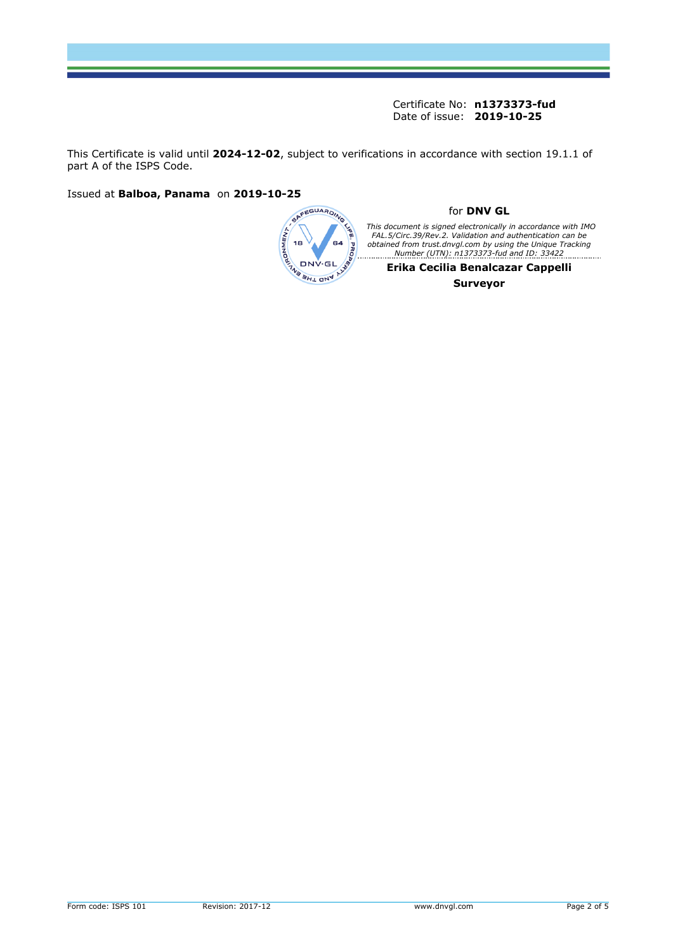This Certificate is valid until **2024-12-02**, subject to verifications in accordance with section 19.1.1 of part A of the ISPS Code.



#### for **DNV GL**

<span id="page-1-0"></span>This document is signed electronically in accordance with IMO<br>FAL.5/Circ.39/Rev.2. Validation and authentication can be<br>obtained from trust.dnvgl.com by using the Unique Tracking<br>Number (UTN): n1373373-fud and ID: 33422

**Erika Cecilia Benalcazar Cappelli Surveyor**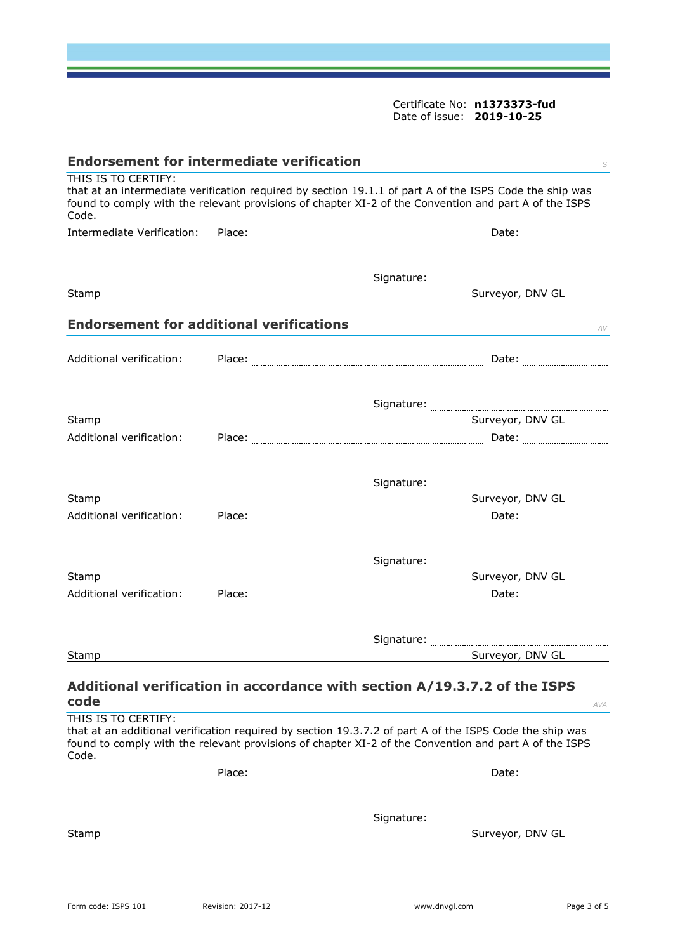<span id="page-2-0"></span>

| <b>Endorsement for intermediate verification</b><br>S                                                                                                                                                                                            |  |                                                                                                                                                                                                                                                   |  |  |
|--------------------------------------------------------------------------------------------------------------------------------------------------------------------------------------------------------------------------------------------------|--|---------------------------------------------------------------------------------------------------------------------------------------------------------------------------------------------------------------------------------------------------|--|--|
| THIS IS TO CERTIFY:<br>that at an intermediate verification required by section 19.1.1 of part A of the ISPS Code the ship was<br>found to comply with the relevant provisions of chapter XI-2 of the Convention and part A of the ISPS<br>Code. |  |                                                                                                                                                                                                                                                   |  |  |
| Intermediate Verification:                                                                                                                                                                                                                       |  |                                                                                                                                                                                                                                                   |  |  |
|                                                                                                                                                                                                                                                  |  |                                                                                                                                                                                                                                                   |  |  |
|                                                                                                                                                                                                                                                  |  |                                                                                                                                                                                                                                                   |  |  |
| Stamp                                                                                                                                                                                                                                            |  | Surveyor, DNV GL                                                                                                                                                                                                                                  |  |  |
| <b>Endorsement for additional verifications</b>                                                                                                                                                                                                  |  | $\mathcal{AV}$                                                                                                                                                                                                                                    |  |  |
| Additional verification:                                                                                                                                                                                                                         |  |                                                                                                                                                                                                                                                   |  |  |
|                                                                                                                                                                                                                                                  |  |                                                                                                                                                                                                                                                   |  |  |
| Stamp                                                                                                                                                                                                                                            |  | Surveyor, DNV GL<br>the control of the control of the control of the control of the control of the control of the control of the control of the control of the control of the control of the control of the control of the control of the control |  |  |
| Additional verification:                                                                                                                                                                                                                         |  |                                                                                                                                                                                                                                                   |  |  |
|                                                                                                                                                                                                                                                  |  |                                                                                                                                                                                                                                                   |  |  |
| Stamp                                                                                                                                                                                                                                            |  | Surveyor, DNV GL Surveyor, DNV GL                                                                                                                                                                                                                 |  |  |
| Additional verification:                                                                                                                                                                                                                         |  |                                                                                                                                                                                                                                                   |  |  |
|                                                                                                                                                                                                                                                  |  |                                                                                                                                                                                                                                                   |  |  |
| Stamp                                                                                                                                                                                                                                            |  | <b>Example 2018 Surveyor, DNV GL 2018 Surveyor, DNV GL</b>                                                                                                                                                                                        |  |  |
| Additional verification:                                                                                                                                                                                                                         |  |                                                                                                                                                                                                                                                   |  |  |
|                                                                                                                                                                                                                                                  |  | Signature: www.communication.com                                                                                                                                                                                                                  |  |  |
| <b>Stamp</b>                                                                                                                                                                                                                                     |  | Surveyor, DNV GL                                                                                                                                                                                                                                  |  |  |
| code                                                                                                                                                                                                                                             |  | Additional verification in accordance with section A/19.3.7.2 of the ISPS<br>AVA                                                                                                                                                                  |  |  |
| THIS IS TO CERTIFY:                                                                                                                                                                                                                              |  |                                                                                                                                                                                                                                                   |  |  |
| Code.                                                                                                                                                                                                                                            |  | that at an additional verification required by section 19.3.7.2 of part A of the ISPS Code the ship was<br>found to comply with the relevant provisions of chapter XI-2 of the Convention and part A of the ISPS                                  |  |  |
|                                                                                                                                                                                                                                                  |  |                                                                                                                                                                                                                                                   |  |  |
|                                                                                                                                                                                                                                                  |  |                                                                                                                                                                                                                                                   |  |  |
| Stamp                                                                                                                                                                                                                                            |  | Surveyor, DNV GL                                                                                                                                                                                                                                  |  |  |
|                                                                                                                                                                                                                                                  |  |                                                                                                                                                                                                                                                   |  |  |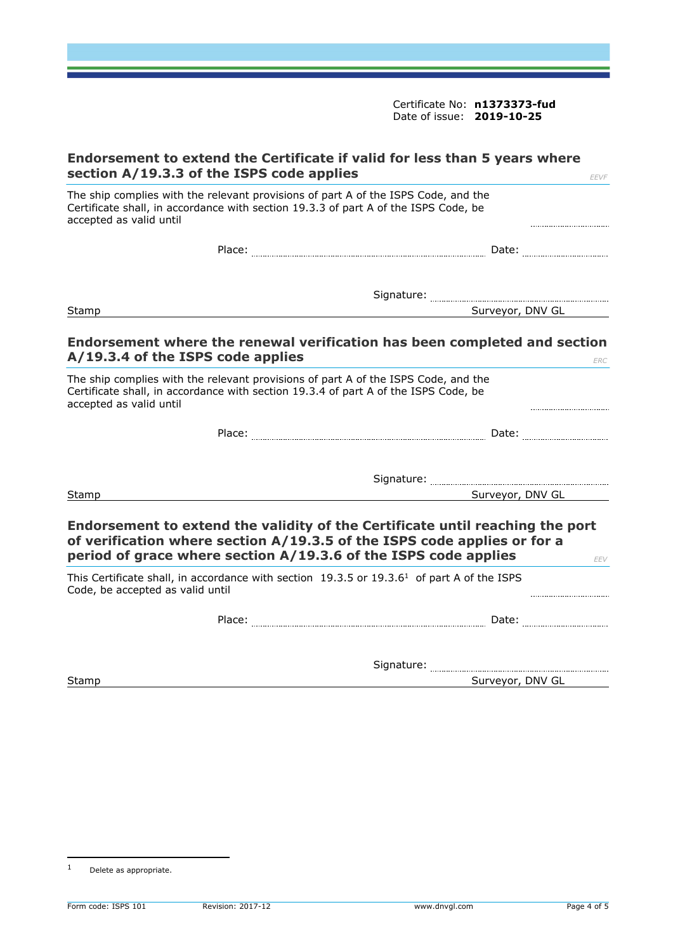| Endorsement to extend the Certificate if valid for less than 5 years where<br>section A/19.3.3 of the ISPS code applies                                                                                                      | EEVF                                                                                                                                                          |
|------------------------------------------------------------------------------------------------------------------------------------------------------------------------------------------------------------------------------|---------------------------------------------------------------------------------------------------------------------------------------------------------------|
| The ship complies with the relevant provisions of part A of the ISPS Code, and the<br>Certificate shall, in accordance with section 19.3.3 of part A of the ISPS Code, be<br>accepted as valid until                         |                                                                                                                                                               |
|                                                                                                                                                                                                                              |                                                                                                                                                               |
|                                                                                                                                                                                                                              | $\Large \textbf{Signature: } \color{red}{\overbrace{ \textbf{Output} } } \color{black} \textbf{Output} } \color{black} \textbf{Output} \textbf{Description:}$ |
| Stamp                                                                                                                                                                                                                        | Surveyor, DNV GL                                                                                                                                              |
| Endorsement where the renewal verification has been completed and section<br>A/19.3.4 of the ISPS code applies                                                                                                               | ERC                                                                                                                                                           |
| The ship complies with the relevant provisions of part A of the ISPS Code, and the<br>Certificate shall, in accordance with section 19.3.4 of part A of the ISPS Code, be<br>accepted as valid until                         |                                                                                                                                                               |
|                                                                                                                                                                                                                              |                                                                                                                                                               |
|                                                                                                                                                                                                                              |                                                                                                                                                               |
| Stamp                                                                                                                                                                                                                        | Surveyor, DNV GL                                                                                                                                              |
| Endorsement to extend the validity of the Certificate until reaching the port<br>of verification where section A/19.3.5 of the ISPS code applies or for a<br>period of grace where section A/19.3.6 of the ISPS code applies | EEV                                                                                                                                                           |
| This Certificate shall, in accordance with section 19.3.5 or 19.3.6 <sup>1</sup> of part A of the ISPS<br>Code, be accepted as valid until                                                                                   |                                                                                                                                                               |
|                                                                                                                                                                                                                              |                                                                                                                                                               |
|                                                                                                                                                                                                                              |                                                                                                                                                               |
| Stamp                                                                                                                                                                                                                        | Surveyor, DNV GL                                                                                                                                              |

<sup>1</sup> Delete as appropriate.